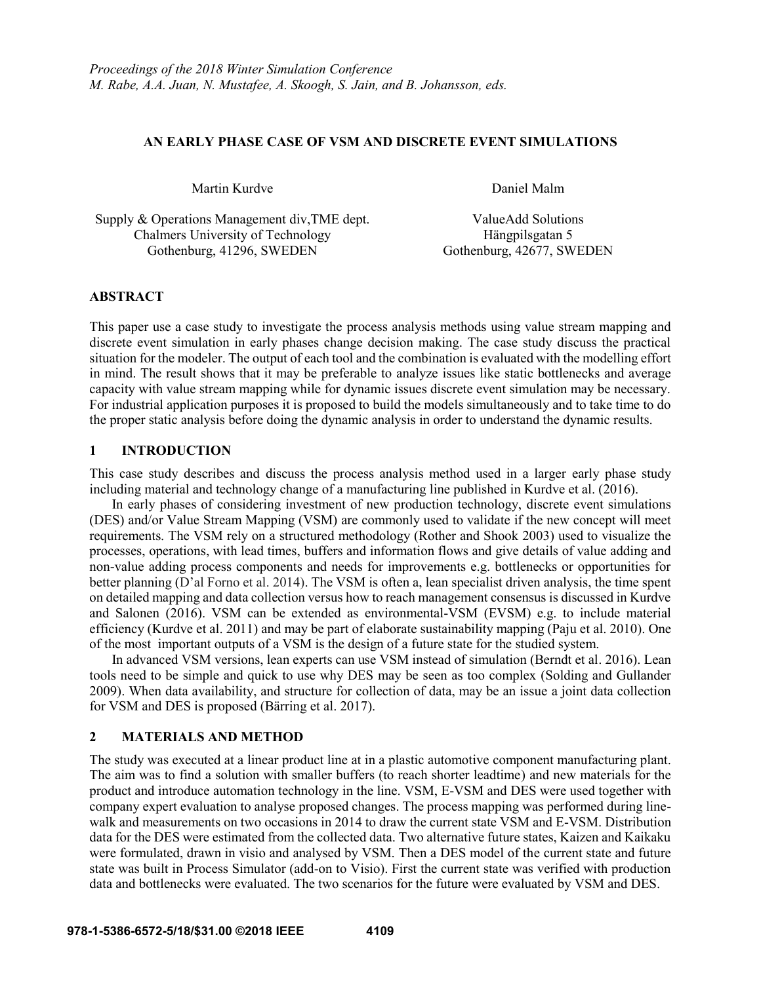#### **AN EARLY PHASE CASE OF VSM AND DISCRETE EVENT SIMULATIONS**

Martin Kurdve **Daniel Malm** 

Supply & Operations Management div,TME dept. ValueAdd Solutions Chalmers University of Technology Gothenburg, 41296, SWEDEN

Hängpilsgatan 5 Gothenburg, 42677, SWEDEN

## **ABSTRACT**

This paper use a case study to investigate the process analysis methods using value stream mapping and discrete event simulation in early phases change decision making. The case study discuss the practical situation for the modeler. The output of each tool and the combination is evaluated with the modelling effort in mind. The result shows that it may be preferable to analyze issues like static bottlenecks and average capacity with value stream mapping while for dynamic issues discrete event simulation may be necessary. For industrial application purposes it is proposed to build the models simultaneously and to take time to do the proper static analysis before doing the dynamic analysis in order to understand the dynamic results.

# **1 INTRODUCTION**

This case study describes and discuss the process analysis method used in a larger early phase study including material and technology change of a manufacturing line published in Kurdve et al. (2016).

In early phases of considering investment of new production technology, discrete event simulations (DES) and/or Value Stream Mapping (VSM) are commonly used to validate if the new concept will meet requirements. The VSM rely on a structured methodology (Rother and Shook 2003) used to visualize the processes, operations, with lead times, buffers and information flows and give details of value adding and non-value adding process components and needs for improvements e.g. bottlenecks or opportunities for better planning (D'al Forno et al. 2014). The VSM is often a, lean specialist driven analysis, the time spent on detailed mapping and data collection versus how to reach management consensus is discussed in Kurdve and Salonen (2016). VSM can be extended as environmental-VSM (EVSM) e.g. to include material efficiency (Kurdve et al. 2011) and may be part of elaborate sustainability mapping (Paju et al. 2010). One of the most important outputs of a VSM is the design of a future state for the studied system.

In advanced VSM versions, lean experts can use VSM instead of simulation (Berndt et al. 2016). Lean tools need to be simple and quick to use why DES may be seen as too complex (Solding and Gullander 2009). When data availability, and structure for collection of data, may be an issue a joint data collection for VSM and DES is proposed (Bärring et al. 2017).

## **2 MATERIALS AND METHOD**

The study was executed at a linear product line at in a plastic automotive component manufacturing plant. The aim was to find a solution with smaller buffers (to reach shorter leadtime) and new materials for the product and introduce automation technology in the line. VSM, E-VSM and DES were used together with company expert evaluation to analyse proposed changes. The process mapping was performed during linewalk and measurements on two occasions in 2014 to draw the current state VSM and E-VSM. Distribution data for the DES were estimated from the collected data. Two alternative future states, Kaizen and Kaikaku were formulated, drawn in visio and analysed by VSM. Then a DES model of the current state and future state was built in Process Simulator (add-on to Visio). First the current state was verified with production data and bottlenecks were evaluated. The two scenarios for the future were evaluated by VSM and DES.